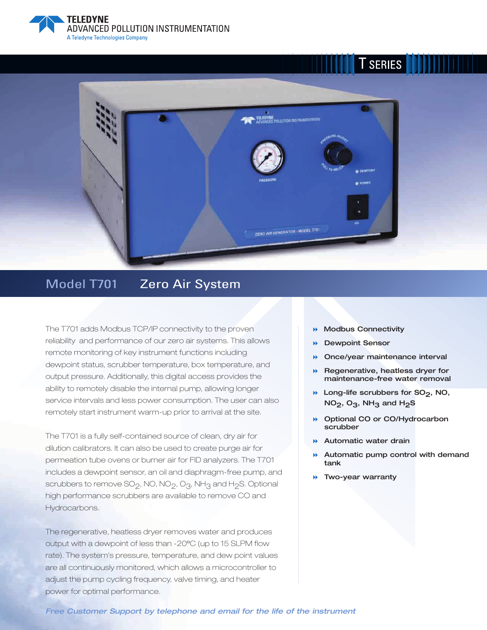

# **T** SERIES



### Model T701 Zero Air System

The T701 adds Modbus TCP/IP connectivity to the proven reliability and performance of our zero air systems. This allows remote monitoring of key instrument functions including dewpoint status, scrubber temperature, box temperature, and output pressure. Additionally, this digital access provides the ability to remotely disable the internal pump, allowing longer service intervals and less power consumption. The user can also remotely start instrument warm-up prior to arrival at the site.

The T701 is a fully self-contained source of clean, dry air for dilution calibrators. It can also be used to create purge air for permeation tube ovens or burner air for FID analyzers. The T701 includes a dewpoint sensor, an oil and diaphragm-free pump, and scrubbers to remove  $SO_2$ , NO, NO<sub>2</sub>, O<sub>3</sub>, NH<sub>3</sub> and H<sub>2</sub>S. Optional high performance scrubbers are available to remove CO and Hydrocarbons.

The regenerative, heatless dryer removes water and produces output with a dewpoint of less than -20ºC (up to 15 SLPM flow rate). The system's pressure, temperature, and dew point values are all continuously monitored, which allows a microcontroller to adjust the pump cycling frequency, valve timing, and heater power for optimal performance.

- **Modbus Connectivity**
- $\blacktriangleright$ **Dewpoint Sensor**
- $\blacktriangleright$ **Once/year maintenance interval**
- **Regenerative, heatless dryer for maintenance-free water removal**
- **A** Long-life scrubbers for SO<sub>2</sub>, NO, **NO<sub>2</sub>**, O<sub>3</sub>, NH<sub>3</sub> and H<sub>2</sub>S
- **Optional CO or CO/Hydrocarbon scrubber**
- **Automatic water drain**
- - **Automatic pump control with demand tank**
- **Two-year warranty**